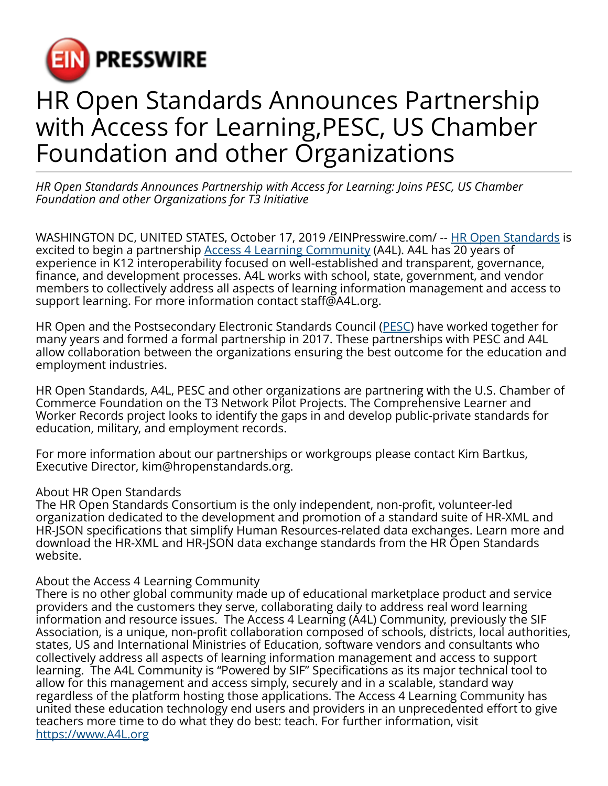

## HR Open Standards Announces Partnership with Access for Learning,PESC, US Chamber Foundation and other Organizations

*HR Open Standards Announces Partnership with Access for Learning: Joins PESC, US Chamber Foundation and other Organizations for T3 Initiative*

WASHINGTON DC, UNITED STATES, October 17, 2019 / [EINPresswire.com/](http://www.einpresswire.com) -- [HR Open Standards](https://hropenstandards.org/) is excited to begin a partnership <u>[Access 4 Learning Community](https://www.a4l.org/)</u> (A4L). A4L has 20 years of experience in K12 interoperability focused on well-established and transparent, governance, finance, and development processes. A4L works with school, state, government, and vendor members to collectively address all aspects of learning information management and access to support learning. For more information contact staff@A4L.org.

HR Open and the Postsecondary Electronic Standards Council ([PESC\)](https://www.pesc.org/) have worked together for many years and formed a formal partnership in 2017. These partnerships with PESC and A4L allow collaboration between the organizations ensuring the best outcome for the education and employment industries.

HR Open Standards, A4L, PESC and other organizations are partnering with the U.S. Chamber of Commerce Foundation on the T3 Network Pilot Projects. The Comprehensive Learner and Worker Records project looks to identify the gaps in and develop public-private standards for education, military, and employment records.

For more information about our partnerships or workgroups please contact Kim Bartkus, Executive Director, kim@hropenstandards.org.

## About HR Open Standards

The HR Open Standards Consortium is the only independent, non-profit, volunteer-led organization dedicated to the development and promotion of a standard suite of HR-XML and HR-JSON specifications that simplify Human Resources-related data exchanges. Learn more and download the HR-XML and HR-JSON data exchange standards from the HR Open Standards website.

## About the Access 4 Learning Community

There is no other global community made up of educational marketplace product and service providers and the customers they serve, collaborating daily to address real word learning information and resource issues. The Access 4 Learning (A4L) Community, previously the SIF Association, is a unique, non-profit collaboration composed of schools, districts, local authorities, states, US and International Ministries of Education, software vendors and consultants who collectively address all aspects of learning information management and access to support learning. The A4L Community is "Powered by SIF" Specifications as its major technical tool to allow for this management and access simply, securely and in a scalable, standard way regardless of the platform hosting those applications. The Access 4 Learning Community has united these education technology end users and providers in an unprecedented effort to give teachers more time to do what they do best: teach. For further information, visit <https://www.A4L.org>